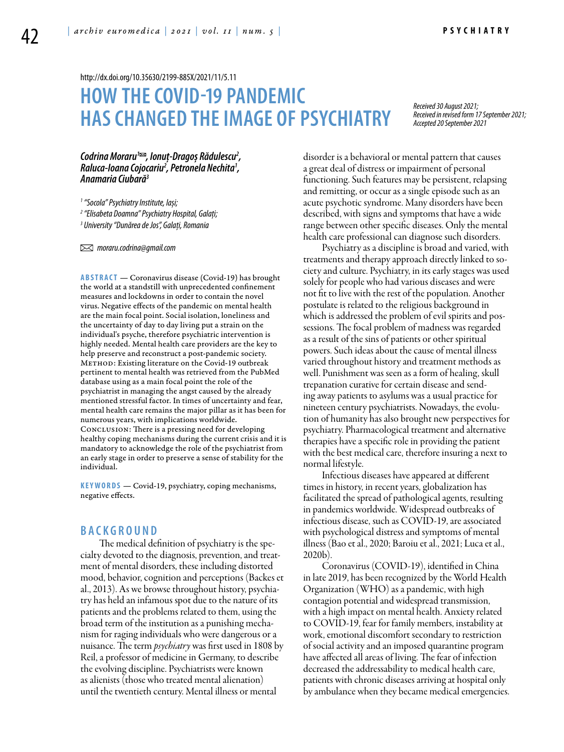<http://dx.doi.org/10.35630/2199-885X/2021/11/5.11>

# **HOW THE COVID-19 PANDEMIC HAS CHANGED THEIMAGE OF PSYCHIATRY**

*Received 30 August 2021; Received in revised form 17 September 2021; Accepted 20 September 2021*

Codrina Moraru<sup>1</sup><sup>∞</sup>, Ionuț-Dragoș Rădulescu<sup>2</sup>, Codrina Moraru™, Ionuţ-Dragoş Rădulescu<sup>2</sup>,<br>Raluca-Ioana Cojocariu<sup>2</sup>, Petronela Nechita<sup>1</sup>,<br>Anamaria Ciubară<sup>3</sup>

*1 "Socola" Psychiatry Institute, Iași;*

*2 "Elisabeta Doamna" Psychiatry Hospital, Galați;*

*3 University "Dunărea de Jos", Galați, Romania*

 *moraru.codrina@gmail.com* 

ABSTRACT — Coronavirus disease (Covid-19) has brought the world at a standstill with unprecedented confinement measures and lockdowns in order to contain the novel virus. Negative effects of the pandemic on mental health are the main focal point. Social isolation, loneliness and the uncertainty of day to day living put a strain on the individual's psyche, therefore psychiatric intervention is highly needed. Mental health care providers are the key to help preserve and reconstruct a post-pandemic society. METHOD: Existing literature on the Covid-19 outbreak pertinent to mental health was retrieved from the PubMed database using as a main focal point the role of the psychiatrist in managing the angst caused by the already mentioned stressful factor. In times of uncertainty and fear, mental health care remains the major pillar as it has been for numerous years, with implications worldwide. Conclusion: There is a pressing need for developing healthy coping mechanisms during the current crisis and it is mandatory to acknowledge the role of the psychiatrist from an early stage in order to preserve a sense of stability for the individual.

KEYWORDS — Covid-19, psychiatry, coping mechanisms, negative effects.

## **B a ckg r o u n d**

The medical definition of psychiatry is the specialty devoted to the diagnosis, prevention, and treatment of mental disorders, these including distorted mood, behavior, cognition and perceptions (Backes et al., 2013). As we browse throughout history, psychiatry has held an infamous spot due to the nature of its patients and the problems related to them, using the broad term of the institution as a punishing mechanism for raging individuals who were dangerous or a nuisance. The term *psychiatry* was first used in 1808 by Reil, a professor of medicine in Germany, to describe the evolving discipline. Psychiatrists were known as alienists (those who treated mental alienation) until the twentieth century. Mental illness or mental

disorder is a behavioral or mental pattern that causes a great deal of distress or impairment of personal functioning. Such features may be persistent, relapsing and remitting, or occur as a single episode such as an acute psychotic syndrome. Many disorders have been described, with signs and symptoms that have a wide range between other specific diseases. Only the mental health care professional can diagnose such disorders.

Psychiatry as a discipline is broad and varied, with treatments and therapy approach directly linked to society and culture. Psychiatry, in its early stages was used solely for people who had various diseases and were not fit to live with the rest of the population. Another postulate is related to the religious background in which is addressed the problem of evil spirits and possessions. The focal problem of madness was regarded as a result of the sins of patients or other spiritual powers. Such ideas about the cause of mental illness varied throughout history and treatment methods as well. Punishment was seen as a form of healing, skull trepanation curative for certain disease and sending away patients to asylums was a usual practice for nineteen century psychiatrists. Nowadays, the evolution of humanity has also brought new perspectives for psychiatry. Pharmacological treatment and alternative therapies have a specific role in providing the patient with the best medical care, therefore insuring a next to normal lifestyle.

Infectious diseases have appeared at different times in history, in recent years, globalization has facilitated the spread of pathological agents, resulting in pandemics worldwide. Widespread outbreaks of infectious disease, such as COVID-19, are associated with psychological distress and symptoms of mental illness (Bao et al., 2020; Baroiu et al., 2021; Luca et al., 2020b).

Coronavirus (COVID-19), identified in China in late 2019, has been recognized by the World Health Organization (WHO) as a pandemic, with high contagion potential and widespread transmission, with a high impact on mental health. Anxiety related to COVID-19, fear for family members, instability at work, emotional discomfort secondary to restriction of social activity and an imposed quarantine program have affected all areas of living. The fear of infection decreased the addressability to medical health care, patients with chronic diseases arriving at hospital only by ambulance when they became medical emergencies.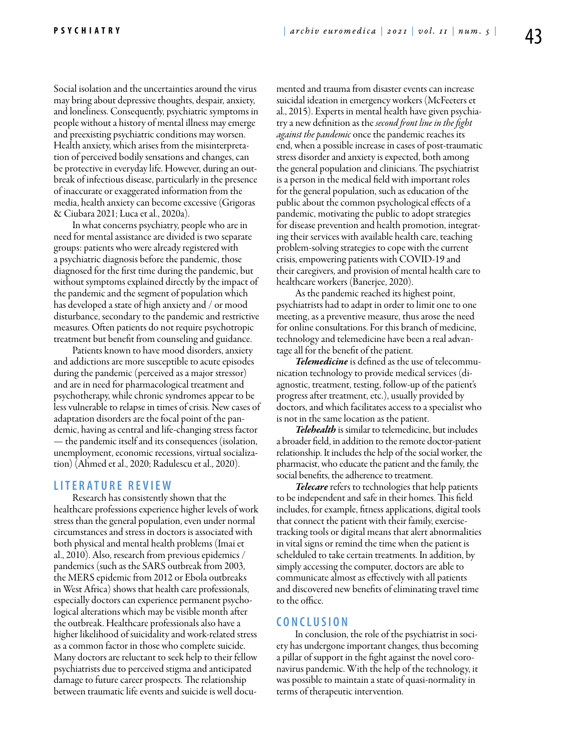Social isolation and the uncertainties around the virus may bring about depressive thoughts, despair, anxiety, and loneliness. Consequently, psychiatric symptoms in people without a history of mental illness may emerge and preexisting psychiatric conditions may worsen. Health anxiety, which arises from the misinterpretation of perceived bodily sensations and changes, can be protective in everyday life. However, during an outbreak of infectious disease, particularly in the presence of inaccurate or exaggerated information from the media, health anxiety can become excessive (Grigoras & Ciubara 2021; Luca et al., 2020a).

In what concerns psychiatry, people who are in need for mental assistance are divided is two separate groups: patients who were already registered with a psychiatric diagnosis before the pandemic, those diagnosed for the first time during the pandemic, but without symptoms explained directly by the impact of the pandemic and the segment of population which has developed a state of high anxiety and / or mood disturbance, secondary to the pandemic and restrictive measures. Often patients do not require psychotropic treatment but benefit from counseling and guidance.

Patients known to have mood disorders, anxiety and addictions are more susceptible to acute episodes during the pandemic (perceived as a major stressor) and are in need for pharmacological treatment and psychotherapy, while chronic syndromes appear to be less vulnerable to relapse in times of crisis. New cases of adaptation disorders are the focal point of the pandemic, having as central and life-changing stress factor — the pandemic itself and its consequences (isolation, unemployment, economic recessions, virtual socialization) (Ahmed et al., 2020; Radulescu et al., 2020).

## **LITERAT U RE RE V IEW**

Research has consistently shown that the healthcare professions experience higher levels of work stress than the general population, even under normal circumstances and stress in doctors is associated with both physical and mental health problems (Imai et al., 2010). Also, research from previous epidemics / pandemics (such as the SARS outbreak from 2003, the MERS epidemic from 2012 or Ebola outbreaks in West Africa) shows that health care professionals, especially doctors can experience permanent psychological alterations which may be visible month after the outbreak. Healthcare professionals also have a higher likelihood of suicidality and work-related stress as a common factor in those who complete suicide. Many doctors are reluctant to seek help to their fellow psychiatrists due to perceived stigma and anticipated damage to future career prospects. The relationship between traumatic life events and suicide is well documented and trauma from disaster events can increase suicidal ideation in emergency workers (McFeeters et al., 2015). Experts in mental health have given psychiatry a new definition as the *second front line in the fight against the pandemic* once the pandemic reaches its end, when a possible increase in cases of post-traumatic stress disorder and anxiety is expected, both among the general population and clinicians. The psychiatrist is a person in the medical field with important roles for the general population, such as education of the public about the common psychological effects of a pandemic, motivating the public to adopt strategies for disease prevention and health promotion, integrating their services with available health care, teaching problem-solving strategies to cope with the current crisis, empowering patients with COVID-19 and their caregivers, and provision of mental health care to healthcare workers (Banerjee, 2020).

As the pandemic reached its highest point, psychiatrists had to adapt in order to limit one to one meeting, as a preventive measure, thus arose the need for online consultations. For this branch of medicine, technology and telemedicine have been a real advantage all for the benefit of the patient.

*Telemedicine* is defined as the use of telecommunication technology to provide medical services (diagnostic, treatment, testing, follow-up of the patient's progress after treatment, etc.), usually provided by doctors, and which facilitates access to a specialist who is not in the same location as the patient.

*Telehealth* is similar to telemedicine, but includes a broader field, in addition to the remote doctor-patient relationship. It includes the help of the social worker, the pharmacist, who educate the patient and the family, the social benefits, the adherence to treatment.

*Telecare* refers to technologies that help patients to be independent and safe in their homes. This field includes, for example, fitness applications, digital tools that connect the patient with their family, exercisetracking tools or digital means that alert abnormalities in vital signs or remind the time when the patient is schelduled to take certain treatments. In addition, by simply accessing the computer, doctors are able to communicate almost as effectively with all patients and discovered new benefits of eliminating travel time to the office.

### **C ON CL U SION**

In conclusion, the role of the psychiatrist in society has undergone important changes, thus becoming a pillar of support in the fight against the novel coronavirus pandemic. With the help of the technology, it was possible to maintain a state of quasi-normality in terms of therapeutic intervention.